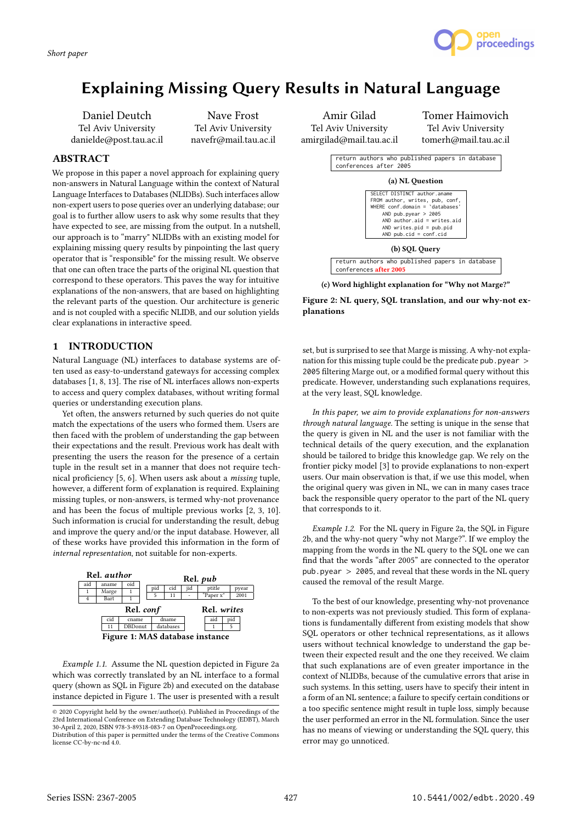

# Explaining Missing Query Results in Natural Language

Daniel Deutch Tel Aviv University danielde@post.tau.ac.il

Nave Frost Tel Aviv University navefr@mail.tau.ac.il

## ABSTRACT

We propose in this paper a novel approach for explaining query non-answers in Natural Language within the context of Natural Language Interfaces to Databases (NLIDBs). Such interfaces allow non-expert users to pose queries over an underlying database; our goal is to further allow users to ask why some results that they have expected to see, are missing from the output. In a nutshell, our approach is to "marry" NLIDBs with an existing model for explaining missing query results by pinpointing the last query operator that is "responsible" for the missing result. We observe that one can often trace the parts of the original NL question that correspond to these operators. This paves the way for intuitive explanations of the non-answers, that are based on highlighting the relevant parts of the question. Our architecture is generic and is not coupled with a specific NLIDB, and our solution yields clear explanations in interactive speed.

## 1 INTRODUCTION

Natural Language (NL) interfaces to database systems are often used as easy-to-understand gateways for accessing complex databases [1, 8, 13]. The rise of NL interfaces allows non-experts to access and query complex databases, without writing formal queries or understanding execution plans.

Yet often, the answers returned by such queries do not quite match the expectations of the users who formed them. Users are then faced with the problem of understanding the gap between their expectations and the result. Previous work has dealt with presenting the users the reason for the presence of a certain tuple in the result set in a manner that does not require technical proficiency [5, 6]. When users ask about a missing tuple, however, a different form of explanation is required. Explaining missing tuples, or non-answers, is termed why-not provenance and has been the focus of multiple previous works [2, 3, 10]. Such information is crucial for understanding the result, debug and improve the query and/or the input database. However, all of these works have provided this information in the form of internal representation, not suitable for non-experts.



Example 1.1. Assume the NL question depicted in Figure 2a which was correctly translated by an NL interface to a formal query (shown as SQL in Figure 2b) and executed on the database instance depicted in Figure 1. The user is presented with a result

© 2020 Copyright held by the owner/author(s). Published in Proceedings of the 23rd International Conference on Extending Database Technology (EDBT), March 30-April 2, 2020, ISBN 978-3-89318-083-7 on OpenProceedings.org.

Amir Gilad Tel Aviv University amirgilad@mail.tau.ac.il

Tomer Haimovich Tel Aviv University tomerh@mail.tau.ac.il



(c) Word highlight explanation for "Why not Marge?"

Figure 2: NL query, SQL translation, and our why-not explanations

set, but is surprised to see that Marge is missing. A why-not explanation for this missing tuple could be the predicate pub.pyear > 2005 filtering Marge out, or a modified formal query without this predicate. However, understanding such explanations requires, at the very least, SQL knowledge.

In this paper, we aim to provide explanations for non-answers through natural language. The setting is unique in the sense that the query is given in NL and the user is not familiar with the technical details of the query execution, and the explanation should be tailored to bridge this knowledge gap. We rely on the frontier picky model [3] to provide explanations to non-expert users. Our main observation is that, if we use this model, when the original query was given in NL, we can in many cases trace back the responsible query operator to the part of the NL query that corresponds to it.

Example 1.2. For the NL query in Figure 2a, the SQL in Figure 2b, and the why-not query "why not Marge?". If we employ the mapping from the words in the NL query to the SQL one we can find that the words "after 2005" are connected to the operator pub.pyear  $> 2005$ , and reveal that these words in the NL query caused the removal of the result Marge.

To the best of our knowledge, presenting why-not provenance to non-experts was not previously studied. This form of explanations is fundamentally different from existing models that show SQL operators or other technical representations, as it allows users without technical knowledge to understand the gap between their expected result and the one they received. We claim that such explanations are of even greater importance in the context of NLIDBs, because of the cumulative errors that arise in such systems. In this setting, users have to specify their intent in a form of an NL sentence; a failure to specify certain conditions or a too specific sentence might result in tuple loss, simply because the user performed an error in the NL formulation. Since the user has no means of viewing or understanding the SQL query, this error may go unnoticed.

Distribution of this paper is permitted under the terms of the Creative Commons license CC-by-nc-nd 4.0.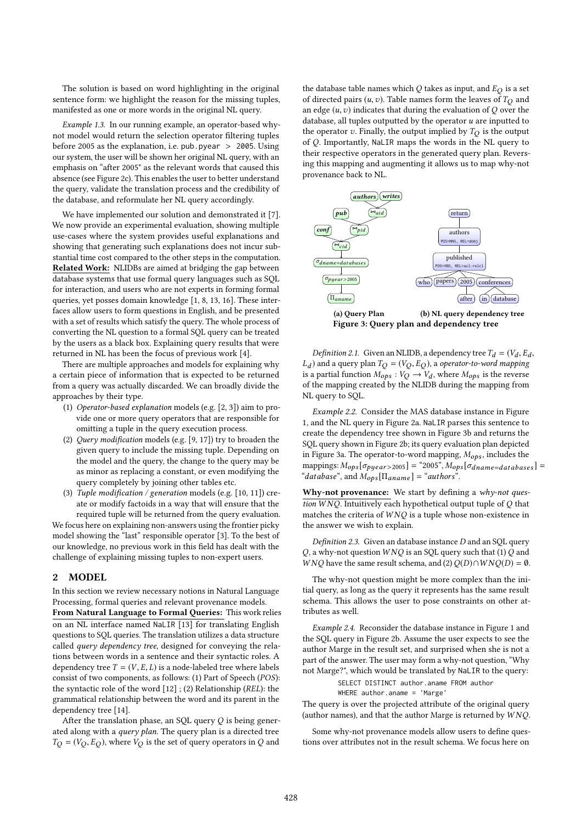The solution is based on word highlighting in the original sentence form: we highlight the reason for the missing tuples, manifested as one or more words in the original NL query.

Example 1.3. In our running example, an operator-based whynot model would return the selection operator filtering tuples before 2005 as the explanation, i.e. pub.pyear  $> 2005$ . Using our system, the user will be shown her original NL query, with an emphasis on "after 2005" as the relevant words that caused this absence (see Figure 2c). This enables the user to better understand the query, validate the translation process and the credibility of the database, and reformulate her NL query accordingly.

We have implemented our solution and demonstrated it [7]. We now provide an experimental evaluation, showing multiple use-cases where the system provides useful explanations and showing that generating such explanations does not incur substantial time cost compared to the other steps in the computation. Related Work: NLIDBs are aimed at bridging the gap between database systems that use formal query languages such as SQL for interaction, and users who are not experts in forming formal queries, yet posses domain knowledge [1, 8, 13, 16]. These interfaces allow users to form questions in English, and be presented with a set of results which satisfy the query. The whole process of converting the NL question to a formal SQL query can be treated by the users as a black box. Explaining query results that were returned in NL has been the focus of previous work [4].

There are multiple approaches and models for explaining why a certain piece of information that is expected to be returned from a query was actually discarded. We can broadly divide the approaches by their type.

- (1) Operator-based explanation models (e.g. [2, 3]) aim to provide one or more query operators that are responsible for omitting a tuple in the query execution process.
- (2) Query modification models (e.g. [9, 17]) try to broaden the given query to include the missing tuple. Depending on the model and the query, the change to the query may be as minor as replacing a constant, or even modifying the query completely by joining other tables etc.
- (3) Tuple modification / generation models (e.g. [10, 11]) create or modify factoids in a way that will ensure that the required tuple will be returned from the query evaluation.

We focus here on explaining non-answers using the frontier picky model showing the "last" responsible operator [3]. To the best of our knowledge, no previous work in this field has dealt with the challenge of explaining missing tuples to non-expert users.

## 2 MODEL

In this section we review necessary notions in Natural Language Processing, formal queries and relevant provenance models.

From Natural Language to Formal Queries: This work relies on an NL interface named NaLIR [13] for translating English questions to SQL queries. The translation utilizes a data structure called query dependency tree, designed for conveying the relations between words in a sentence and their syntactic roles. A dependency tree  $T = (V, E, L)$  is a node-labeled tree where labels consist of two components, as follows: (1) Part of Speech (POS): the syntactic role of the word [12] ; (2) Relationship (REL): the grammatical relationship between the word and its parent in the dependency tree [14].

After the translation phase, an SQL query  $Q$  is being generated along with a query plan. The query plan is a directed tree  $T_Q = (V_Q, E_Q)$ , where  $V_Q$  is the set of query operators in Q and

the database table names which  $Q$  takes as input, and  $E_Q$  is a set of directed pairs  $(u, v)$ . Table names form the leaves of  $T_Q$  and an edge  $(u, v)$  indicates that during the evaluation of  $Q$  over the database, all tuples outputted by the operator  $u$  are inputted to the operator  $v$ . Finally, the output implied by  $T_Q$  is the output of Q. Importantly, NaLIR maps the words in the NL query to their respective operators in the generated query plan. Reversing this mapping and augmenting it allows us to map why-not provenance back to NL.



*Definition 2.1.* Given an NLIDB, a dependency tree  $T_d = (V_d, E_d, V_d)$ <br>and a query plan  $T_c = (V_c, E_c)$  a operator-to-word mapping ,<br>ino  $L_d$ ) and a query plan  $T_Q = (V_Q, E_Q)$ , a *operator-to-word mapping*<br>is a partial function  $M_{\text{max}} : V_Q \to V$ , where  $M_{\text{max}}$  is the reverse is a partial function  $M_{ops}: V_Q \to V_d$ , where  $M_{ops}$  is the reverse<br>of the manning created by the NJ IDB during the manning from of the mapping created by the NLIDB during the mapping from NL query to SQL.

Example 2.2. Consider the MAS database instance in Figure 1, and the NL query in Figure 2a. NaLIR parses this sentence to create the dependency tree shown in Figure 3b and returns the SQL query shown in Figure 2b; its query evaluation plan depicted in Figure 3a. The operator-to-word mapping,  $M_{obs}$ , includes the mappings:  $M_{ops}[\sigma_{pyear>2005}] =$  "2005",  $M_{ops}[\sigma_{dname=databases}] =$ "database", and  $M_{ops}[\Pi_{aname}] =$  "authors".

Why-not provenance: We start by defining a  $why\text{-}not\text{-}ques\text{-}$ tion  $W NQ$ . Intuitively each hypothetical output tuple of  $Q$  that matches the criteria of  $W NQ$  is a tuple whose non-existence in the answer we wish to explain.

Definition 2.3. Given an database instance D and an SQL query Q, a why-not question  $W NQ$  is an SQL query such that (1) Q and W NQ have the same result schema, and (2) $Q(D) \cap W N Q(D) = \emptyset$ .

The why-not question might be more complex than the initial query, as long as the query it represents has the same result schema. This allows the user to pose constraints on other attributes as well.

Example 2.4. Reconsider the database instance in Figure 1 and the SQL query in Figure 2b. Assume the user expects to see the author Marge in the result set, and surprised when she is not a part of the answer. The user may form a why-not question, "Why not Marge?", which would be translated by NaLIR to the query:

SELECT DISTINCT author.aname FROM author

#### WHERE author.aname = 'Marge'

The query is over the projected attribute of the original query (author names), and that the author Marge is returned by  $W NQ$ .

Some why-not provenance models allow users to define questions over attributes not in the result schema. We focus here on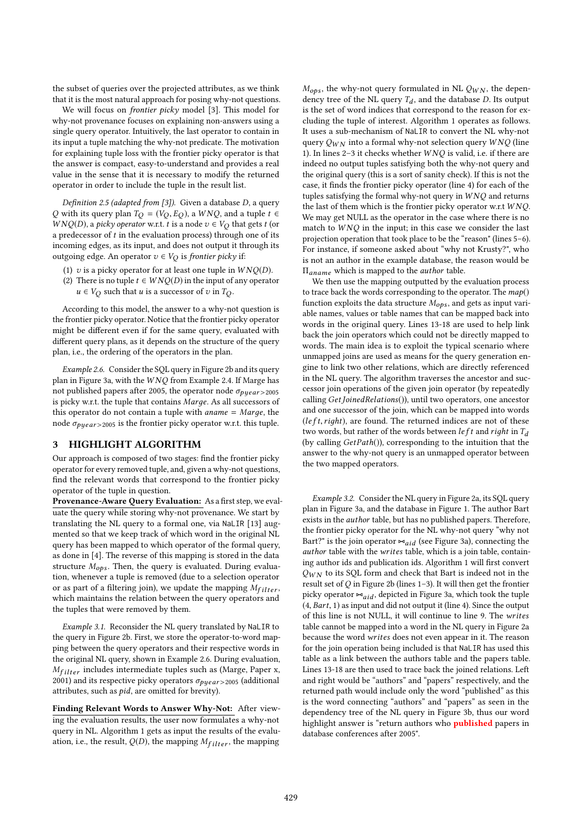the subset of queries over the projected attributes, as we think that it is the most natural approach for posing why-not questions.

We will focus on frontier picky model [3]. This model for why-not provenance focuses on explaining non-answers using a single query operator. Intuitively, the last operator to contain in its input a tuple matching the why-not predicate. The motivation for explaining tuple loss with the frontier picky operator is that the answer is compact, easy-to-understand and provides a real value in the sense that it is necessary to modify the returned operator in order to include the tuple in the result list.

Definition 2.5 (adapted from [3]). Given a database  $D$ , a query Q with its query plan  $T_Q = (V_Q, E_Q)$ , a  $WNQ$ , and a tuple  $t \in$  $WNQ(D)$ , a *picky operator* w.r.t. *t* is a node  $v \in V_O$  that gets *t* (or a predecessor of  $t$  in the evaluation process) through one of its incoming edges, as its input, and does not output it through its outgoing edge. An operator  $v \in V_Q$  is frontier picky if:

- (1)  $v$  is a picky operator for at least one tuple in  $WNQ(D)$ .
- (2) There is no tuple  $t \in WNQ(D)$  in the input of any operator  $u \in V_Q$  such that u is a successor of v in  $T_Q$ .

According to this model, the answer to a why-not question is the frontier picky operator. Notice that the frontier picky operator might be different even if for the same query, evaluated with different query plans, as it depends on the structure of the query plan, i.e., the ordering of the operators in the plan.

Example 2.6. Consider the SQL query in Figure 2b and its query plan in Figure 3a, with the W NQ from Example 2.4. If Marge has not published papers after 2005, the operator node  $\sigma_{pyear > 2005}$ is picky w.r.t. the tuple that contains Marдe. As all successors of this operator do not contain a tuple with  $aname = Marge$ , the node  $\sigma_{\text{vuear} > 2005}$  is the frontier picky operator w.r.t. this tuple.

## 3 HIGHLIGHT ALGORITHM

Our approach is composed of two stages: find the frontier picky operator for every removed tuple, and, given a why-not questions, find the relevant words that correspond to the frontier picky operator of the tuple in question.

Provenance-Aware Query Evaluation: As a first step, we evaluate the query while storing why-not provenance. We start by translating the NL query to a formal one, via NaLIR [13] augmented so that we keep track of which word in the original NL query has been mapped to which operator of the formal query, as done in [4]. The reverse of this mapping is stored in the data structure  $M_{obs}$ . Then, the query is evaluated. During evaluation, whenever a tuple is removed (due to a selection operator or as part of a filtering join), we update the mapping  $M_{filter}$ , which maintains the relation between the query operators and the tuples that were removed by them.

Example 3.1. Reconsider the NL query translated by NaLIR to the query in Figure 2b. First, we store the operator-to-word mapping between the query operators and their respective words in the original NL query, shown in Example 2.6. During evaluation,  $M_{filter}$  includes intermediate tuples such as (Marge, Paper x, 2001) and its respective picky operators  $\sigma_{p \mu e a r > 2005}$  (additional attributes, such as pid, are omitted for brevity).

Finding Relevant Words to Answer Why-Not: After viewing the evaluation results, the user now formulates a why-not query in NL. Algorithm 1 gets as input the results of the evaluation, i.e., the result,  $Q(D)$ , the mapping  $M_{filter}$ , the mapping

 $M_{ops}$ , the why-not query formulated in NL  $Q_{WN}$ , the dependency tree of the NL query  $T_d$ , and the database D. Its output<br>is the set of word indices that correspond to the reason for exis the set of word indices that correspond to the reason for excluding the tuple of interest. Algorithm 1 operates as follows. It uses a sub-mechanism of NaLIR to convert the NL why-not query  $Q_{WN}$  into a formal why-not selection query  $W NQ$  (line 1). In lines 2-3 it checks whether  $W NQ$  is valid, i.e. if there are indeed no output tuples satisfying both the why-not query and the original query (this is a sort of sanity check). If this is not the case, it finds the frontier picky operator (line 4) for each of the tuples satisfying the formal why-not query in  $W NQ$  and returns the last of them which is the frontier picky operator w.r.t  $WNQ$ . We may get NULL as the operator in the case where there is no match to  $W NQ$  in the input; in this case we consider the last projection operation that took place to be the "reason" (lines 5–6). For instance, if someone asked about "why not Krusty?", who is not an author in the example database, the reason would be <sup>Π</sup>aname which is mapped to the author table.

We then use the mapping outputted by the evaluation process to trace back the words corresponding to the operator. The  $map()$ function exploits the data structure  $M_{ops}$ , and gets as input variable names, values or table names that can be mapped back into words in the original query. Lines 13-18 are used to help link back the join operators which could not be directly mapped to words. The main idea is to exploit the typical scenario where unmapped joins are used as means for the query generation engine to link two other relations, which are directly referenced in the NL query. The algorithm traverses the ancestor and successor join operations of the given join operator (by repeatedly calling GetJoinedRelations()), until two operators, one ancestor and one successor of the join, which can be mapped into words  $(left, right),$  are found. The returned indices are not of these two words, but rather of the words between  $left$  rather in  $T_d$ (by calling  $GetPath()$ ), corresponding to the intuition that the answer to the why-not query is an unmapped operator between the two mapped operators.

Example 3.2. Consider the NL query in Figure 2a, its SQL query plan in Figure 3a, and the database in Figure 1. The author Bart exists in the author table, but has no published papers. Therefore, the frontier picky operator for the NL why-not query "why not Bart?" is the join operator  $\Join_{aid}$  (see Figure 3a), connecting the author table with the writes table, which is a join table, containing author ids and publication ids. Algorithm 1 will first convert  $Q_{WN}$  to its SQL form and check that Bart is indeed not in the result set of  $Q$  in Figure 2b (lines 1–3). It will then get the frontier picky operator  $\bowtie_{aid}$ , depicted in Figure 3a, which took the tuple (4, Bart, <sup>1</sup>) as input and did not output it (line 4). Since the output of this line is not NULL, it will continue to line 9. The writes table cannot be mapped into a word in the NL query in Figure 2a because the word writes does not even appear in it. The reason for the join operation being included is that NaLIR has used this table as a link between the authors table and the papers table. Lines 13-18 are then used to trace back the joined relations. Left and right would be "authors" and "papers" respectively, and the returned path would include only the word "published" as this is the word connecting "authors" and "papers" as seen in the dependency tree of the NL query in Figure 3b, thus our word highlight answer is "return authors who **published** papers in database conferences after 2005".